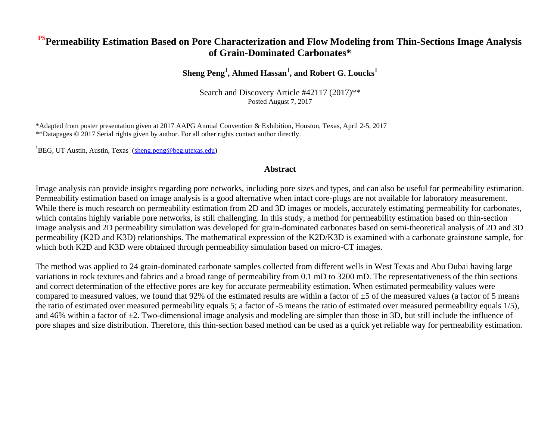### **PSPermeability Estimation Based on Pore Characterization and Flow Modeling from Thin-Sections Image Analysis of Grain-Dominated Carbonates\***

### **Sheng Peng<sup>1</sup> , Ahmed Hassan<sup>1</sup> , and Robert G. Loucks<sup>1</sup>**

Search and Discovery Article #42117 (2017)\*\* Posted August 7, 2017

\*Adapted from poster presentation given at 2017 AAPG Annual Convention & Exhibition, Houston, Texas, April 2-5, 2017 \*\*Datapages © 2017 Serial rights given by author. For all other rights contact author directly.

<sup>1</sup>BEG, UT Austin, Austin, Texas [\(sheng.peng@beg.utexas.edu\)](mailto:sheng.peng@beg.utexas.edu)

#### **Abstract**

Image analysis can provide insights regarding pore networks, including pore sizes and types, and can also be useful for permeability estimation. Permeability estimation based on image analysis is a good alternative when intact core-plugs are not available for laboratory measurement. While there is much research on permeability estimation from 2D and 3D images or models, accurately estimating permeability for carbonates, which contains highly variable pore networks, is still challenging. In this study, a method for permeability estimation based on thin-section image analysis and 2D permeability simulation was developed for grain-dominated carbonates based on semi-theoretical analysis of 2D and 3D permeability (K2D and K3D) relationships. The mathematical expression of the K2D/K3D is examined with a carbonate grainstone sample, for which both K2D and K3D were obtained through permeability simulation based on micro-CT images.

The method was applied to 24 grain-dominated carbonate samples collected from different wells in West Texas and Abu Dubai having large variations in rock textures and fabrics and a broad range of permeability from 0.1 mD to 3200 mD. The representativeness of the thin sections and correct determination of the effective pores are key for accurate permeability estimation. When estimated permeability values were compared to measured values, we found that 92% of the estimated results are within a factor of  $\pm$ 5 of the measured values (a factor of 5 means the ratio of estimated over measured permeability equals 5; a factor of -5 means the ratio of estimated over measured permeability equals 1/5), and 46% within a factor of  $\pm 2$ . Two-dimensional image analysis and modeling are simpler than those in 3D, but still include the influence of pore shapes and size distribution. Therefore, this thin-section based method can be used as a quick yet reliable way for permeability estimation.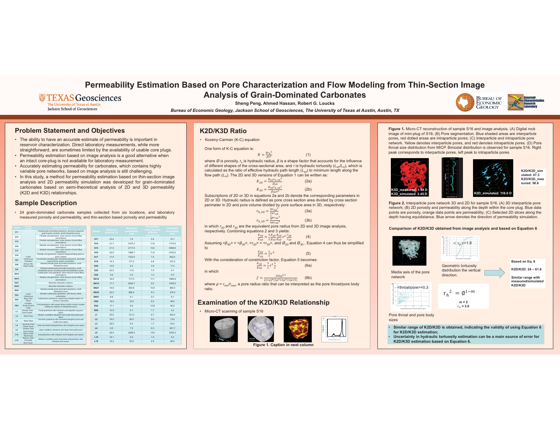# **Permeability Estimation Based on Pore Characterization and Flow Modeling from Thin-Section Image Analysis of Grain-Dominated Carbonates**

## **WEXAS Geosciences**

The University of Texas at Austin **Jackson School of Geosciences** 

**Sheng Peng, Ahmed Hassan, Robert G. Loucks**

*Bureau of Economic Geology, Jackson School of Geosciences, The University of Texas at Austin, Austin, TX*

## **Problem Statement and Objectives**

- The ability to have an accurate estimate of permeability is important in reservoir characterization. Direct laboratory measurements, while more straightforward, are sometimes limited by the availability of usable core plugs.
- Permeability estimation based on image analysis is a good alternative when an intact core-plug is not available for laboratory measurement.
- Accurately estimating permeability for carbonates, which contains highly variable pore networks, based on image analysis is still challenging.
- In this study, <sup>a</sup> method for permeability estimation based on thin-section image analysis and 2D permeability simulation was developed for grain-dominated carbonates based on semi-theoretical analysis of 2D and 3D permeability (K2D and K3D) relationships.

## **Sample Description**

• 24 grain-dominated carbonate samples collected from six locations, and laboratory measured porosity and permeability, and thin-section based porosity and permeability

where Ø is porosity,  $r_h$  is hydraulic radius, β is a shape factor that accounts for the influence of different shapes of the cross-sectional area, and *<sup>τ</sup>* is hydraulic tortuosity ( *Leh/L <sup>m</sup>*), which is calculated as the ratio of effective hydraulic path length ( *Leh*) to minimum length along the flow path ( *L <sup>m</sup>*). The 2D and 3D versions of Equation 1 can be written as:

• Kozeny-Carman (K-C) equation

in which  $r_{\rm 2D}$  and  $r_{\rm 3D}$  are the equivalent pore radius from 2D and 3D image analysis, respectively. Combining equations 2 and 3 yields:

 $\tau^2 \frac{r_{2D}}{r}$ (4)

Assuming  $\langle \beta_{3D} \rangle = \langle \beta_{2D} \rangle$ ,  $\langle r_{2D} \rangle = \langle r_{3D} \rangle$ , and  $\mathcal{O}_{2D}$  and  $\mathcal{O}_{3D}$ , Equation 4 can thus be simplified to

With the consideration of constriction factor, Equation 5 becomes:  $K_{\bm{2D}}$ ൌ $=$  $\frac{3}{4}$  $rac{3}{2}\tau^2\frac{1}{f}$ 

 $\frac{3}{2}\tau^2$  (5) (6a)

 $(1+\rho)^4(5\rho^3+3\rho^2+3\rho+5)$ 

## **K2D/K3D Ratio**

One form of K-C equation is:

$$
K = \frac{\phi r_h^2}{\beta \tau^2} \tag{1}
$$

(2a)

$$
K_{2D} = \frac{\phi_{2D} r_{h_2 D}^2}{\beta_{2D}} \tag{2a}
$$
  

$$
K_{3D} = \frac{\phi_{3D} r_{h_3 D}^2}{\beta_{3D} \tau^2} \tag{2b}
$$

Subscriptions of 2D or 3D in equations 2a and 2b denote the corresponding parameters in 2D or 3D. Hydraulic radius is defined as pore cross section area divided by cross section perimeter in 2D and pore volume divided by pore surface area in 3D, respectively:

(3a)

$$
r_{h_2D} = \frac{\pi r_{2D}^2}{2\pi r_{2D}}
$$
 (3a)  

$$
r_{h_2D} = \frac{\frac{4}{3}\pi r_{3D}^3}{4\pi r_{3D}^2}
$$
 (3b)

$$
\frac{K_{2D}}{K_{3D}} = \frac{3}{2} \frac{\beta_{3D}}{\beta_{2D}} \frac{\phi_{2D}}{\phi_{3D}} \tau^2 \frac{r_{2D}}{r_{3D}}
$$

$$
\frac{K_{2D}}{K_{3D}} = \frac{3}{2}\tau^2
$$

2

in which

ratio.

$$
f = \frac{256\rho^3}{(4 \cdot 24.5 \cdot 3 \cdot 3)}
$$

where *ρ* = *r<sub>min</sub>/r<sub>max</sub>*, a pore radius ratio that can be interpreted as the pore throat/pore body

## **Examination of the K2D/K3D Relationship**

 $K_{3D}$ 





• Micro-CT scanning of sample S16



**Figure 1.** Micro-CT reconstruction of sample S16 and image analysis. (A) Digital rock image of mini-plug of S16; (B) Pore segmentation. Blue shaded areas are interparticle pores, red dotted areas are intraparticle pores; (C) Interparticle and intraparticle pore network. Yellow denotes interparticle pores, and red denotes intraparticle pores. (D) Pore throat size distribution from MICP. Bimodal distribution is observed for sample S16. Right peak corresponds to interparticle pores, left peak to intraparticle pores.

| <b>Sample</b>   | <b>Sample</b><br>location                                                                                 | <b>Sample description</b>                                                                                                                                                                                                                           |                 | <b>Measured</b> | <b>Measured</b>      | Thin-section-                | <b>Estimate</b>  |
|-----------------|-----------------------------------------------------------------------------------------------------------|-----------------------------------------------------------------------------------------------------------------------------------------------------------------------------------------------------------------------------------------------------|-----------------|-----------------|----------------------|------------------------------|------------------|
| <b>S11</b>      | Lower<br>Cretaceous<br>Thamama<br>Group, Abu<br><b>Dhabi Fields</b><br>Lower<br>Cretaceous<br>Sligo Ooid- | Peloidal grain-dominated packstone, dominant tangential<br>grain-to-grain contacts, small interparticle pores                                                                                                                                       | <b>Sample</b>   | porosity (%)    | permeability<br>(mD) | based porosity<br>effective) | permeabi<br>(mD) |
| S <sub>14</sub> |                                                                                                           | Peloidal ooid grainstone, minor amount of pore-filling<br>cementations                                                                                                                                                                              |                 | 23.4            |                      | porosity) (%)<br>5.4         |                  |
| <b>S15</b>      |                                                                                                           | Peloidal ooid grainstone, minor amount of pore-filling                                                                                                                                                                                              | <b>S11</b>      |                 | 7.6                  |                              | 12.1             |
| S <sub>16</sub> |                                                                                                           | cementations<br>Skeletal ooid grainstone, minor amount of pore-filling<br>cementations<br>Skeletal ooid grainstone, minor amount of pore-filling<br>cementations<br>Peloidal ooid grainstone, frequent interpenetrating grain-to-<br>grain contacts | <b>S14</b>      | 21.7            | 1615.3               | 11.6                         | 1774.5           |
|                 |                                                                                                           |                                                                                                                                                                                                                                                     | <b>S15</b>      | 21.6            | 2117.6               | 16.6                         | 4386.6           |
| <b>S17</b>      |                                                                                                           |                                                                                                                                                                                                                                                     | S <sub>16</sub> | 20.9            | 1988.7               | 11.6                         | 2183.2           |
| <b>S18</b>      |                                                                                                           |                                                                                                                                                                                                                                                     | <b>S17</b>      | 17.8            | 1122.0               | 7.5                          | 852.6            |
| <b>S20</b>      |                                                                                                           | Foraminifera peloidal grain-domianted packstone, abundant                                                                                                                                                                                           |                 |                 |                      |                              |                  |
|                 |                                                                                                           | equant blocky calcite cementation<br>Skeletal peloidal grain-dominated packstone, small                                                                                                                                                             | <b>S18</b>      | 14.3            | 117.2                | 4.8                          | 310.3            |
| S30             |                                                                                                           | interparticle pores                                                                                                                                                                                                                                 | <b>S20</b>      | 12.6            | 2.5                  | 3.9                          | 11.2             |
| S38             |                                                                                                           | Skeletal peloidal grain-dominated packstone, small<br>interparticle pores, including small recrystallization pores                                                                                                                                  | <b>S30</b>      | 22.5            | 11.8                 | 7.0                          | 4.7              |
| <b>SN12</b>     |                                                                                                           | Coated-grain ooid grainstone, minor amount of pore-filling<br>cementations                                                                                                                                                                          | <b>S38</b>      | 9.5             | 0.4                  | 1.2                          | 0.5              |
| <b>SN15</b>     |                                                                                                           | Skeletal ooid grainstone, minor amount of pore-filling<br>cementations                                                                                                                                                                              | <b>SN12</b>     | 16.9            | 717.0                | 11.1                         | 1880.9           |
| <b>SN21</b>     |                                                                                                           | Bacinella intraclastic rudstone                                                                                                                                                                                                                     | <b>SN15</b>     | 17.7            | 2620.7               | 9.2                          | 1450.0           |
| <b>SN35</b>     |                                                                                                           | Bacinella intraclastic rudstone                                                                                                                                                                                                                     | <b>SN21</b>     | 14.6            | 403.8                | 10.9                         | 964.4            |
| <b>SN51</b>     |                                                                                                           | Skeletal peloidal grain-dominated packstone, small<br>interparticle pores<br>Skeletal coated-grain grainstone, with blocky calcite                                                                                                                  |                 |                 |                      |                              |                  |
| <b>R20</b>      |                                                                                                           |                                                                                                                                                                                                                                                     | <b>SN35</b>     | 22.5            | 686.5                | 8.3                          | 374.5            |
|                 |                                                                                                           | cementation<br>Coated-grain grainstone, isopacheous bladed calcite rim-                                                                                                                                                                             | <b>SN51</b>     | 8.6             | 0.1                  | 0.7                          | 0.1              |
| R <sub>24</sub> | Shoal<br>Complex,                                                                                         | cement is abundant                                                                                                                                                                                                                                  | <b>R20</b>      | 16.5            | 10.0                 | 8.0                          | 49.0             |
| <b>R82</b>      | South-Central<br>Texas                                                                                    | Ooid grainstone, with equant blocky calcite cement crystals<br>infilling the majority of interparticle pores                                                                                                                                        | <b>R24</b>      | 17.1            | 8.8                  | 10.8                         | 40.2             |
| L1              | Ghawar Field,<br>Saudi Arabia                                                                             | Fossil grainstone with intergrain and separate-vug pore<br>space                                                                                                                                                                                    | <b>R82</b>      | 10.9            | 0.1                  | 1.7                          | 3.2              |
| L2              | <b>West Texas</b>                                                                                         | Medium crystalline dolostone with small intercrystal pore                                                                                                                                                                                           | L1              | 20.0            | 121.0                | 8.7                          | 443.5            |
|                 |                                                                                                           | space<br>Oomoldic grainstone with cemented intergrain pores and                                                                                                                                                                                     | L2              | 16.0            | 30.0                 | 5.0                          | 13.6             |
| L <sub>3</sub>  | West Texas<br>Seminole Field                                                                              | moldic pore space                                                                                                                                                                                                                                   | L3              | 25.0            | 5.0                  | 1.7                          | 23.4             |
| L4              | Weste Texas                                                                                               | Grain-dominated dolopackstone with intergrain pore space                                                                                                                                                                                            |                 | 9.0             | 7.3                  | 6.3                          | 451.7            |
| L5              | <b>Ghawar Field</b><br>Saudi Arabia                                                                       | Large crystalline dolostone with large intercrystal pores                                                                                                                                                                                           | L4              |                 |                      |                              |                  |
| L10             | Sacroc Field<br><b>West Texas</b>                                                                         | Ooid grainstone with intergrain and intragrain pore space                                                                                                                                                                                           | L5              | 24.0            | 3200.0               | 13.0                         | 3335.3           |
|                 | <b>Wasson Clear</b><br>Fork field,<br><b>West Texas</b>                                                   | Medium crystalline grain-dominated dolopackstone with<br>intergrain pore space                                                                                                                                                                      | L10             | 16.1            | 5.5                  | 1.0                          | 3.4              |
| L15             |                                                                                                           |                                                                                                                                                                                                                                                     | L15             | 14.2            | 35.0                 | 4.5                          | 46.5             |

**Figure 2.** Interparticle pore network 3D and 2D for sample S16. (A) 3D interparticle pore network; (B) 2D porosity and permeability along the depth within the core plug. Blue data points are porosity, orange data points are permeability; (C) Selected 2D slices along the depth having equidistance. Blue arrow denotes the direction of permeability simulation.

(B)

0 50 100 150 200 **Equivalent pore throat radius (µm)**

Geometric tortuosity distribution the vertical direction.



**Figure 1. Caption in next column**















**K2D/K3D\_sim ulated: 47.3K2D/K3D\_mea sured: 58.6**

**Based on Eq. 6**

**K2D/K3D: 24 – 61.8**

**Similar range with measured/simulated K2D/K3D**

Pore throat and pore body sizes

$$
\tau_h^2 = \emptyset^{1-m}
$$
  

$$
\sum_{\tau_h = 3.0}^{m=2}
$$

### **Comparison of K2D/K3D obtained from image analysis and based on Equation 6**

- • **Similar range of K2D/K3D is obtained, indicating the validity of using Equation 6 for K2D/K3D estimation;**
- • **Uncertainty in hydraulic tortuosity estimation can be a main source of error for K2D/K3D estimation based on Equation 6.**